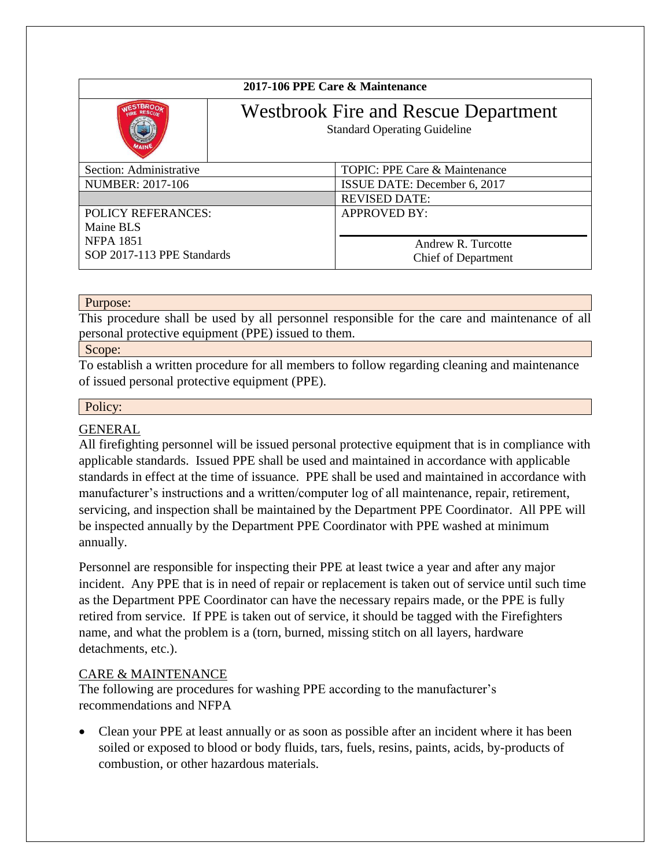| 2017-106 PPE Care & Maintenance |                                                                                    |                               |
|---------------------------------|------------------------------------------------------------------------------------|-------------------------------|
|                                 | <b>Westbrook Fire and Rescue Department</b><br><b>Standard Operating Guideline</b> |                               |
| Section: Administrative         |                                                                                    | TOPIC: PPE Care & Maintenance |
| <b>NUMBER: 2017-106</b>         |                                                                                    | ISSUE DATE: December 6, 2017  |
|                                 |                                                                                    | <b>REVISED DATE:</b>          |
| <b>POLICY REFERANCES:</b>       |                                                                                    | <b>APPROVED BY:</b>           |
| Maine BLS                       |                                                                                    |                               |
| <b>NFPA 1851</b>                |                                                                                    | Andrew R. Turcotte            |
| SOP 2017-113 PPE Standards      |                                                                                    | Chief of Department           |

### Purpose:

This procedure shall be used by all personnel responsible for the care and maintenance of all personal protective equipment (PPE) issued to them.

#### Scope:

To establish a written procedure for all members to follow regarding cleaning and maintenance of issued personal protective equipment (PPE).

### Policy:

# GENERAL

All firefighting personnel will be issued personal protective equipment that is in compliance with applicable standards. Issued PPE shall be used and maintained in accordance with applicable standards in effect at the time of issuance. PPE shall be used and maintained in accordance with manufacturer's instructions and a written/computer log of all maintenance, repair, retirement, servicing, and inspection shall be maintained by the Department PPE Coordinator. All PPE will be inspected annually by the Department PPE Coordinator with PPE washed at minimum annually.

Personnel are responsible for inspecting their PPE at least twice a year and after any major incident. Any PPE that is in need of repair or replacement is taken out of service until such time as the Department PPE Coordinator can have the necessary repairs made, or the PPE is fully retired from service. If PPE is taken out of service, it should be tagged with the Firefighters name, and what the problem is a (torn, burned, missing stitch on all layers, hardware detachments, etc.).

## CARE & MAINTENANCE

The following are procedures for washing PPE according to the manufacturer's recommendations and NFPA

• Clean your PPE at least annually or as soon as possible after an incident where it has been soiled or exposed to blood or body fluids, tars, fuels, resins, paints, acids, by-products of combustion, or other hazardous materials.